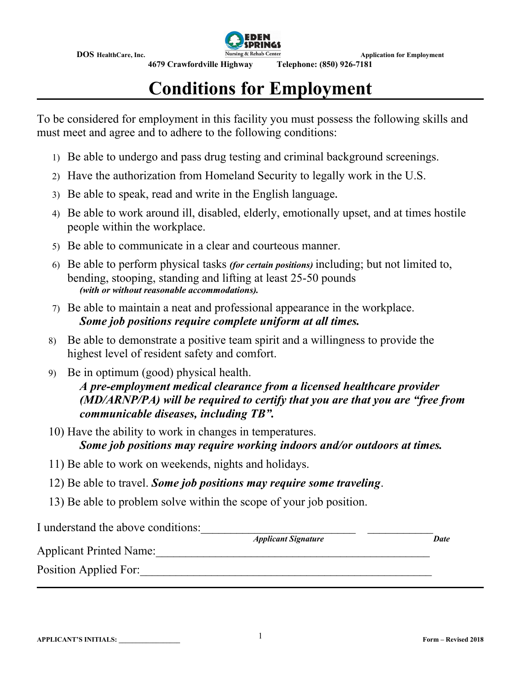

# **Conditions for Employment**

To be considered for employment in this facility you must possess the following skills and must meet and agree and to adhere to the following conditions:

- 1) Be able to undergo and pass drug testing and criminal background screenings.
- 2) Have the authorization from Homeland Security to legally work in the U.S.
- 3) Be able to speak, read and write in the English language**.**
- 4) Be able to work around ill, disabled, elderly, emotionally upset, and at times hostile people within the workplace.
- 5) Be able to communicate in a clear and courteous manner.
- 6) Be able to perform physical tasks *(for certain positions)* including; but not limited to, bending, stooping, standing and lifting at least 25-50 pounds *(with or without reasonable accommodations).*
- 7) Be able to maintain a neat and professional appearance in the workplace. *Some job positions require complete uniform at all times.*
- 8) Be able to demonstrate a positive team spirit and a willingness to provide the highest level of resident safety and comfort.
- 9) Be in optimum (good) physical health. *A pre-employment medical clearance from a licensed healthcare provider (MD/ARNP/PA) will be required to certify that you are that you are "free from communicable diseases, including TB".*
- 10) Have the ability to work in changes in temperatures.

*Some job positions may require working indoors and/or outdoors at times.*

- 11) Be able to work on weekends, nights and holidays.
- 12) Be able to travel. *Some job positions may require some traveling*.
- 13) Be able to problem solve within the scope of your job position.

I understand the above conditions:

*<i>Applicant Signature* Date

Applicant Printed Name: Position Applied For: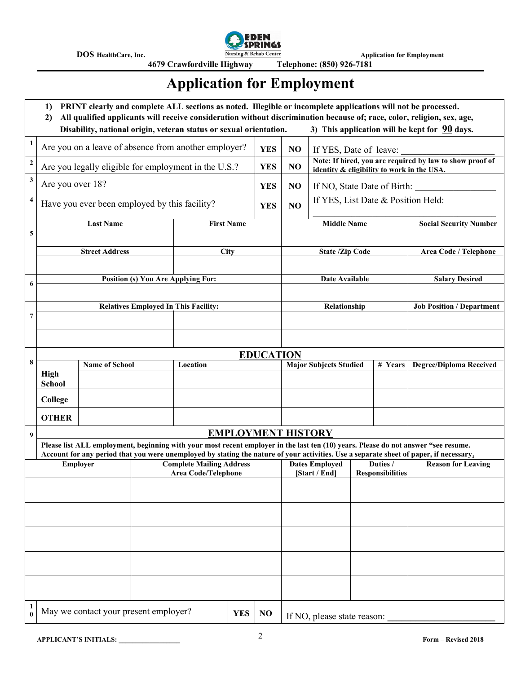

**4679 Crawfordville Highway** 

## **Application for Employment**

|                         | PRINT clearly and complete ALL sections as noted. Illegible or incomplete applications will not be processed.<br>1)<br>All qualified applicants will receive consideration without discrimination because of; race, color, religion, sex, age,<br>2)<br>3) This application will be kept for $90$ days.<br>Disability, national origin, veteran status or sexual orientation. |                                                                                                                                                                 |                                                               |                                             |                   |                |                        |                                                                                    |  |                                |                                                                                                                                        |  |
|-------------------------|-------------------------------------------------------------------------------------------------------------------------------------------------------------------------------------------------------------------------------------------------------------------------------------------------------------------------------------------------------------------------------|-----------------------------------------------------------------------------------------------------------------------------------------------------------------|---------------------------------------------------------------|---------------------------------------------|-------------------|----------------|------------------------|------------------------------------------------------------------------------------|--|--------------------------------|----------------------------------------------------------------------------------------------------------------------------------------|--|
| 1                       |                                                                                                                                                                                                                                                                                                                                                                               | Are you on a leave of absence from another employer?                                                                                                            |                                                               |                                             |                   | <b>YES</b>     | NO                     |                                                                                    |  |                                |                                                                                                                                        |  |
| $\mathbf 2$             |                                                                                                                                                                                                                                                                                                                                                                               |                                                                                                                                                                 |                                                               |                                             |                   | <b>YES</b>     | N <sub>O</sub>         | If YES, Date of leave:<br>Note: If hired, you are required by law to show proof of |  |                                |                                                                                                                                        |  |
| $\mathbf{3}$            |                                                                                                                                                                                                                                                                                                                                                                               | Are you legally eligible for employment in the U.S.?                                                                                                            |                                                               |                                             |                   |                |                        | identity & eligibility to work in the USA                                          |  |                                |                                                                                                                                        |  |
|                         | Are you over 18?                                                                                                                                                                                                                                                                                                                                                              |                                                                                                                                                                 |                                                               |                                             |                   | <b>YES</b>     | N <sub>O</sub>         | If NO, State Date of Birth:                                                        |  |                                |                                                                                                                                        |  |
| $\overline{\mathbf{4}}$ | Have you ever been employed by this facility?                                                                                                                                                                                                                                                                                                                                 |                                                                                                                                                                 |                                                               |                                             |                   | <b>YES</b>     | NO                     | If YES, List Date & Position Held:                                                 |  |                                |                                                                                                                                        |  |
| 5                       |                                                                                                                                                                                                                                                                                                                                                                               | <b>Last Name</b>                                                                                                                                                |                                                               |                                             | <b>First Name</b> |                | <b>Middle Name</b>     |                                                                                    |  |                                | <b>Social Security Number</b>                                                                                                          |  |
|                         |                                                                                                                                                                                                                                                                                                                                                                               |                                                                                                                                                                 |                                                               |                                             |                   |                |                        |                                                                                    |  |                                |                                                                                                                                        |  |
|                         |                                                                                                                                                                                                                                                                                                                                                                               | <b>Street Address</b>                                                                                                                                           |                                                               | City                                        |                   |                | <b>State /Zip Code</b> |                                                                                    |  | Area Code / Telephone          |                                                                                                                                        |  |
|                         |                                                                                                                                                                                                                                                                                                                                                                               | <b>Position (s) You Are Applying For:</b>                                                                                                                       |                                                               |                                             |                   | Date Available |                        |                                                                                    |  | <b>Salary Desired</b>          |                                                                                                                                        |  |
| 6                       |                                                                                                                                                                                                                                                                                                                                                                               |                                                                                                                                                                 |                                                               |                                             |                   |                |                        |                                                                                    |  |                                |                                                                                                                                        |  |
|                         |                                                                                                                                                                                                                                                                                                                                                                               |                                                                                                                                                                 |                                                               | <b>Relatives Employed In This Facility:</b> |                   |                |                        | Relationship                                                                       |  |                                | <b>Job Position / Department</b>                                                                                                       |  |
| 7                       |                                                                                                                                                                                                                                                                                                                                                                               |                                                                                                                                                                 |                                                               |                                             |                   |                |                        |                                                                                    |  |                                |                                                                                                                                        |  |
|                         |                                                                                                                                                                                                                                                                                                                                                                               |                                                                                                                                                                 |                                                               |                                             |                   |                |                        |                                                                                    |  |                                |                                                                                                                                        |  |
| 8                       |                                                                                                                                                                                                                                                                                                                                                                               | <b>EDUCATION</b><br><b>Major Subjects Studied</b>                                                                                                               |                                                               |                                             |                   |                |                        |                                                                                    |  | <b>Degree/Diploma Received</b> |                                                                                                                                        |  |
|                         | <b>High</b>                                                                                                                                                                                                                                                                                                                                                                   | <b>Name of School</b><br>Location                                                                                                                               |                                                               |                                             |                   |                |                        |                                                                                    |  | # Years                        |                                                                                                                                        |  |
|                         | <b>School</b>                                                                                                                                                                                                                                                                                                                                                                 |                                                                                                                                                                 |                                                               |                                             |                   |                |                        |                                                                                    |  |                                |                                                                                                                                        |  |
|                         | College                                                                                                                                                                                                                                                                                                                                                                       |                                                                                                                                                                 |                                                               |                                             |                   |                |                        |                                                                                    |  |                                |                                                                                                                                        |  |
|                         | <b>OTHER</b>                                                                                                                                                                                                                                                                                                                                                                  |                                                                                                                                                                 |                                                               |                                             |                   |                |                        |                                                                                    |  |                                |                                                                                                                                        |  |
| 9                       |                                                                                                                                                                                                                                                                                                                                                                               | <b>EMPLOYMENT HISTORY</b><br>Please list ALL employment, beginning with your most recent employer in the last ten (10) years. Please do not answer "see resume. |                                                               |                                             |                   |                |                        |                                                                                    |  |                                |                                                                                                                                        |  |
|                         |                                                                                                                                                                                                                                                                                                                                                                               |                                                                                                                                                                 |                                                               |                                             |                   |                |                        |                                                                                    |  |                                | Account for any period that you were unemployed by stating the nature of your activities. Use a separate sheet of paper, if necessary, |  |
|                         | Employer                                                                                                                                                                                                                                                                                                                                                                      |                                                                                                                                                                 | <b>Complete Mailing Address</b><br><b>Area Code/Telephone</b> |                                             |                   |                |                        | Duties /<br><b>Dates Employed</b><br><b>Responsibilities</b><br>[Start / End]      |  |                                | <b>Reason for Leaving</b>                                                                                                              |  |
|                         |                                                                                                                                                                                                                                                                                                                                                                               |                                                                                                                                                                 |                                                               |                                             |                   |                |                        |                                                                                    |  |                                |                                                                                                                                        |  |
|                         |                                                                                                                                                                                                                                                                                                                                                                               |                                                                                                                                                                 |                                                               |                                             |                   |                |                        |                                                                                    |  |                                |                                                                                                                                        |  |
|                         |                                                                                                                                                                                                                                                                                                                                                                               |                                                                                                                                                                 |                                                               |                                             |                   |                |                        |                                                                                    |  |                                |                                                                                                                                        |  |
|                         |                                                                                                                                                                                                                                                                                                                                                                               |                                                                                                                                                                 |                                                               |                                             |                   |                |                        |                                                                                    |  |                                |                                                                                                                                        |  |
|                         |                                                                                                                                                                                                                                                                                                                                                                               |                                                                                                                                                                 |                                                               |                                             |                   |                |                        |                                                                                    |  |                                |                                                                                                                                        |  |
|                         |                                                                                                                                                                                                                                                                                                                                                                               |                                                                                                                                                                 |                                                               |                                             |                   |                |                        |                                                                                    |  |                                |                                                                                                                                        |  |
|                         |                                                                                                                                                                                                                                                                                                                                                                               |                                                                                                                                                                 |                                                               |                                             |                   |                |                        |                                                                                    |  |                                |                                                                                                                                        |  |
| 1                       | May we contact your present employer?                                                                                                                                                                                                                                                                                                                                         |                                                                                                                                                                 |                                                               |                                             | <b>YES</b>        | NO             |                        | If NO, please state reason:                                                        |  |                                |                                                                                                                                        |  |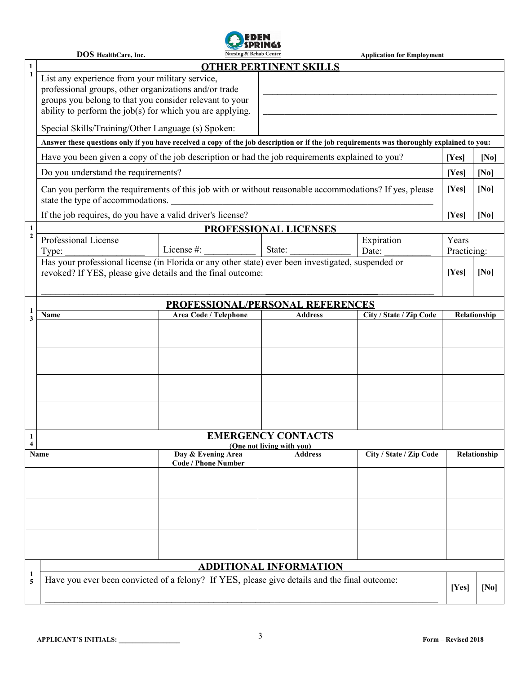

|                               | Nursing & Rehab Center<br><b>DOS</b> HealthCare, Inc.<br><b>Application for Employment</b>                                                                                                                                       |                                                                                                    |                                      |                         |                      |                   |  |  |
|-------------------------------|----------------------------------------------------------------------------------------------------------------------------------------------------------------------------------------------------------------------------------|----------------------------------------------------------------------------------------------------|--------------------------------------|-------------------------|----------------------|-------------------|--|--|
| $\mathbf{1}$                  | <b>OTHER PERTINENT SKILLS</b>                                                                                                                                                                                                    |                                                                                                    |                                      |                         |                      |                   |  |  |
| 1                             | List any experience from your military service,<br>professional groups, other organizations and/or trade<br>groups you belong to that you consider relevant to your<br>ability to perform the job(s) for which you are applying. |                                                                                                    |                                      |                         |                      |                   |  |  |
|                               | Special Skills/Training/Other Language (s) Spoken:                                                                                                                                                                               |                                                                                                    |                                      |                         |                      |                   |  |  |
|                               | Answer these questions only if you have received a copy of the job description or if the job requirements was thoroughly explained to you:                                                                                       |                                                                                                    |                                      |                         |                      |                   |  |  |
|                               | Have you been given a copy of the job description or had the job requirements explained to you?                                                                                                                                  | [Yes]                                                                                              | [No]                                 |                         |                      |                   |  |  |
|                               | Do you understand the requirements?                                                                                                                                                                                              | [Yes]                                                                                              | [N <sub>0</sub> ]                    |                         |                      |                   |  |  |
|                               | Can you perform the requirements of this job with or without reasonable accommodations? If yes, please<br>state the type of accommodations.                                                                                      |                                                                                                    | [Yes]                                | [No]                    |                      |                   |  |  |
|                               | If the job requires, do you have a valid driver's license?                                                                                                                                                                       |                                                                                                    |                                      |                         | [Yes]                | [N <sub>0</sub> ] |  |  |
| $\mathbf{1}$                  | PROFESSIONAL LICENSES                                                                                                                                                                                                            |                                                                                                    |                                      |                         |                      |                   |  |  |
| $\boldsymbol{2}$              | Professional License<br>Type:                                                                                                                                                                                                    | License #: $\frac{1}{2}$                                                                           | State:                               | Expiration<br>Date:     | Years<br>Practicing: |                   |  |  |
|                               |                                                                                                                                                                                                                                  | Has your professional license (in Florida or any other state) ever been investigated, suspended or |                                      |                         |                      |                   |  |  |
|                               | revoked? If YES, please give details and the final outcome:                                                                                                                                                                      |                                                                                                    |                                      |                         | [Yes]                | [No]              |  |  |
|                               | <b>PROFESSIONAL/PERSONAL REFERENCES</b>                                                                                                                                                                                          |                                                                                                    |                                      |                         |                      |                   |  |  |
| 1<br>3                        | City / State / Zip Code<br>Area Code / Telephone<br><b>Address</b><br>Name                                                                                                                                                       |                                                                                                    |                                      |                         |                      |                   |  |  |
|                               |                                                                                                                                                                                                                                  |                                                                                                    |                                      |                         |                      |                   |  |  |
|                               |                                                                                                                                                                                                                                  |                                                                                                    |                                      |                         |                      |                   |  |  |
| 1<br>$\overline{\mathbf{4}}$  | <b>EMERGENCY CONTACTS</b>                                                                                                                                                                                                        |                                                                                                    |                                      |                         |                      |                   |  |  |
| Name                          |                                                                                                                                                                                                                                  | Day & Evening Area<br><b>Code / Phone Number</b>                                                   | (One not living with you)<br>Address | City / State / Zip Code | Relationship         |                   |  |  |
|                               |                                                                                                                                                                                                                                  |                                                                                                    |                                      |                         |                      |                   |  |  |
|                               |                                                                                                                                                                                                                                  |                                                                                                    |                                      |                         |                      |                   |  |  |
|                               |                                                                                                                                                                                                                                  |                                                                                                    |                                      |                         |                      |                   |  |  |
| <b>ADDITIONAL INFORMATION</b> |                                                                                                                                                                                                                                  |                                                                                                    |                                      |                         |                      |                   |  |  |
| $\mathbf{1}$<br>5             | Have you ever been convicted of a felony? If YES, please give details and the final outcome:                                                                                                                                     |                                                                                                    |                                      |                         |                      |                   |  |  |